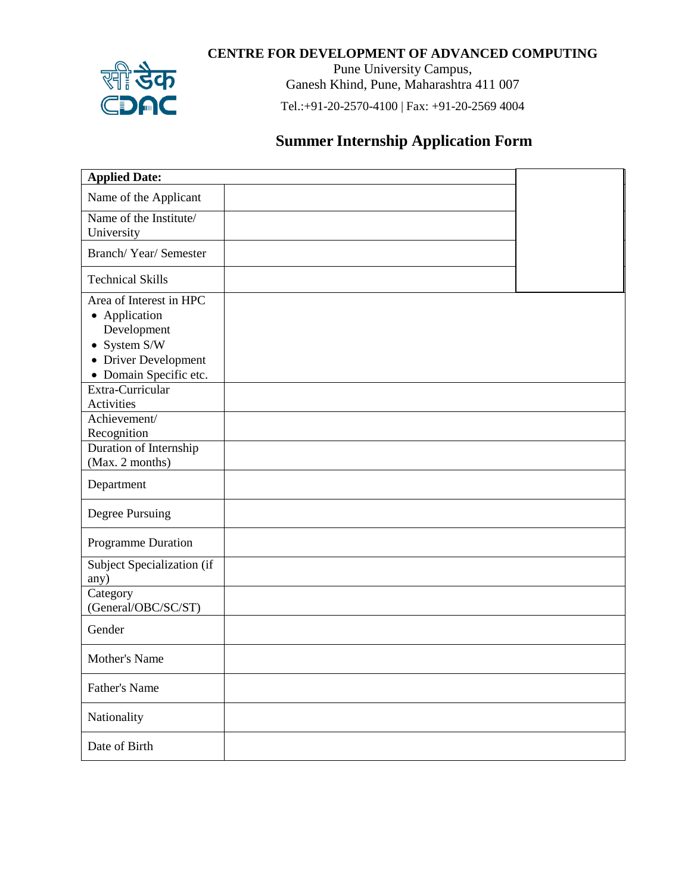## **CENTRE FOR DEVELOPMENT OF ADVANCED COMPUTING**



Pune University Campus, Ganesh Khind, Pune, Maharashtra 411 007

Tel.:+91-20-2570-4100 | Fax: +91-20-2569 4004

## **Summer Internship Application Form**

| <b>Applied Date:</b>                                     |  |
|----------------------------------------------------------|--|
| Name of the Applicant                                    |  |
| Name of the Institute/<br>University                     |  |
| Branch/Year/Semester                                     |  |
| <b>Technical Skills</b>                                  |  |
| Area of Interest in HPC<br>• Application<br>Development  |  |
| • System S/W<br>• Driver Development                     |  |
| • Domain Specific etc.<br>Extra-Curricular<br>Activities |  |
| Achievement/<br>Recognition                              |  |
| Duration of Internship<br>(Max. 2 months)                |  |
| Department                                               |  |
| <b>Degree Pursuing</b>                                   |  |
| Programme Duration                                       |  |
| Subject Specialization (if<br>any)                       |  |
| Category<br>(General/OBC/SC/ST)                          |  |
| Gender                                                   |  |
| Mother's Name                                            |  |
| Father's Name                                            |  |
| Nationality                                              |  |
| Date of Birth                                            |  |